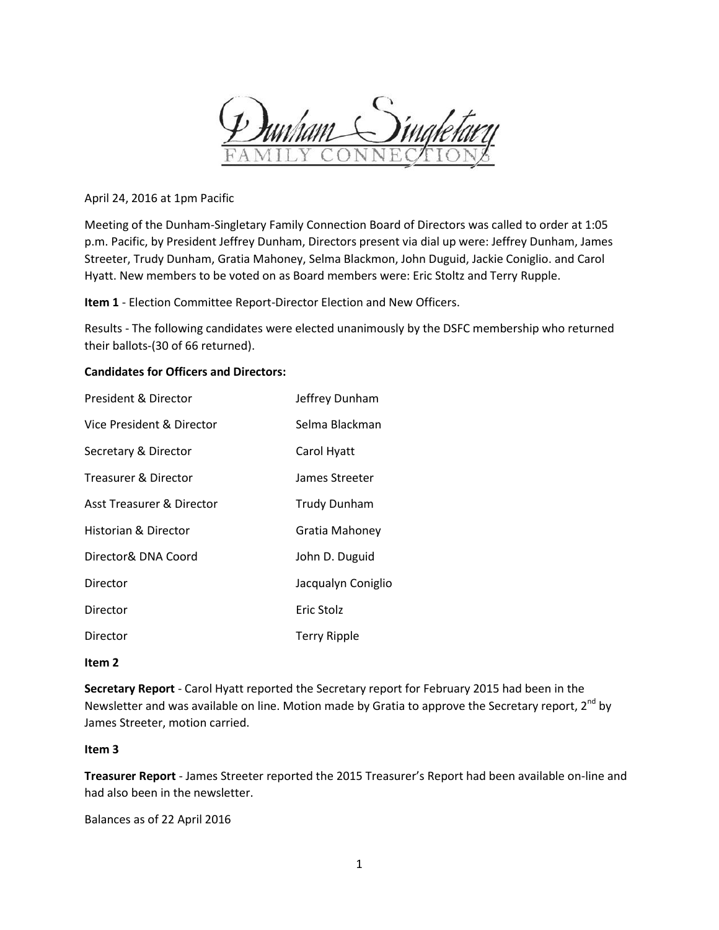

April 24, 2016 at 1pm Pacific

Meeting of the Dunham-Singletary Family Connection Board of Directors was called to order at 1:05 p.m. Pacific, by President Jeffrey Dunham, Directors present via dial up were: Jeffrey Dunham, James Streeter, Trudy Dunham, Gratia Mahoney, Selma Blackmon, John Duguid, Jackie Coniglio. and Carol Hyatt. New members to be voted on as Board members were: Eric Stoltz and Terry Rupple.

**Item 1** - Election Committee Report-Director Election and New Officers.

Results - The following candidates were elected unanimously by the DSFC membership who returned their ballots-(30 of 66 returned).

# **Candidates for Officers and Directors:**

| President & Director            | Jeffrey Dunham      |
|---------------------------------|---------------------|
| Vice President & Director       | Selma Blackman      |
| Secretary & Director            | Carol Hyatt         |
| <b>Treasurer &amp; Director</b> | James Streeter      |
| Asst Treasurer & Director       | <b>Trudy Dunham</b> |
| Historian & Director            | Gratia Mahoney      |
| Director& DNA Coord             | John D. Duguid      |
| Director                        | Jacqualyn Coniglio  |
| Director                        | Eric Stolz          |
| Director                        | <b>Terry Ripple</b> |

### **Item 2**

**Secretary Report** - Carol Hyatt reported the Secretary report for February 2015 had been in the Newsletter and was available on line. Motion made by Gratia to approve the Secretary report,  $2^{nd}$  by James Streeter, motion carried.

### **Item 3**

**Treasurer Report** - James Streeter reported the 2015 Treasurer's Report had been available on-line and had also been in the newsletter.

Balances as of 22 April 2016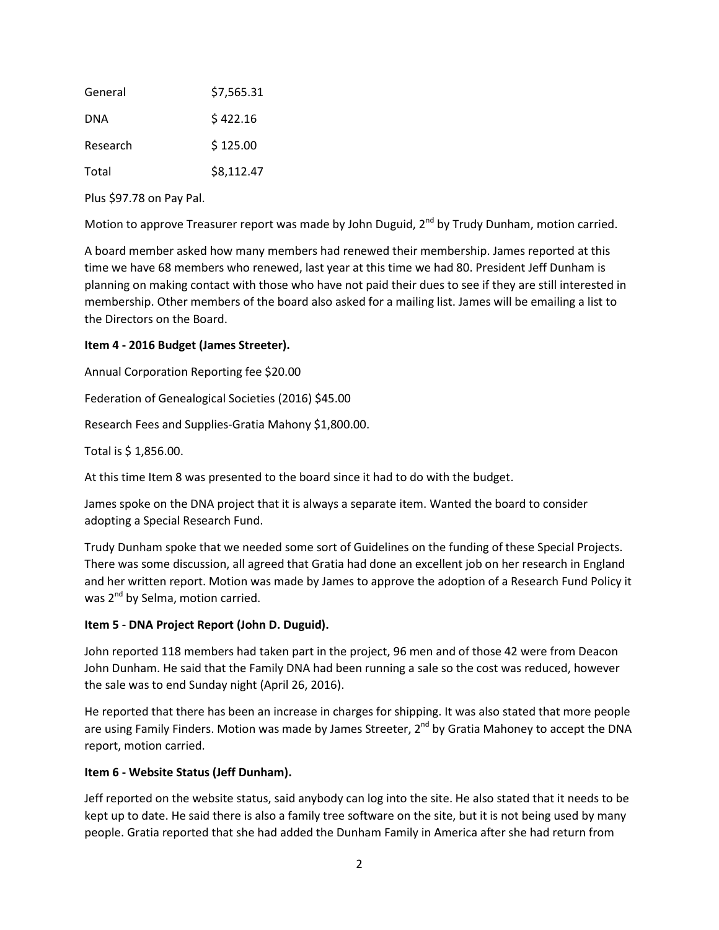| General    | \$7,565.31 |
|------------|------------|
| <b>DNA</b> | \$422.16   |
| Research   | \$125.00   |
| Total      | \$8,112.47 |

Plus \$97.78 on Pay Pal.

Motion to approve Treasurer report was made by John Duguid, 2<sup>nd</sup> by Trudy Dunham, motion carried.

A board member asked how many members had renewed their membership. James reported at this time we have 68 members who renewed, last year at this time we had 80. President Jeff Dunham is planning on making contact with those who have not paid their dues to see if they are still interested in membership. Other members of the board also asked for a mailing list. James will be emailing a list to the Directors on the Board.

# **Item 4 - 2016 Budget (James Streeter).**

Annual Corporation Reporting fee \$20.00

Federation of Genealogical Societies (2016) \$45.00

Research Fees and Supplies-Gratia Mahony \$1,800.00.

Total is \$ 1,856.00.

At this time Item 8 was presented to the board since it had to do with the budget.

James spoke on the DNA project that it is always a separate item. Wanted the board to consider adopting a Special Research Fund.

Trudy Dunham spoke that we needed some sort of Guidelines on the funding of these Special Projects. There was some discussion, all agreed that Gratia had done an excellent job on her research in England and her written report. Motion was made by James to approve the adoption of a Research Fund Policy it was 2<sup>nd</sup> by Selma, motion carried.

### **Item 5 - DNA Project Report (John D. Duguid).**

John reported 118 members had taken part in the project, 96 men and of those 42 were from Deacon John Dunham. He said that the Family DNA had been running a sale so the cost was reduced, however the sale was to end Sunday night (April 26, 2016).

He reported that there has been an increase in charges for shipping. It was also stated that more people are using Family Finders. Motion was made by James Streeter,  $2^{nd}$  by Gratia Mahoney to accept the DNA report, motion carried.

# **Item 6 - Website Status (Jeff Dunham).**

Jeff reported on the website status, said anybody can log into the site. He also stated that it needs to be kept up to date. He said there is also a family tree software on the site, but it is not being used by many people. Gratia reported that she had added the Dunham Family in America after she had return from